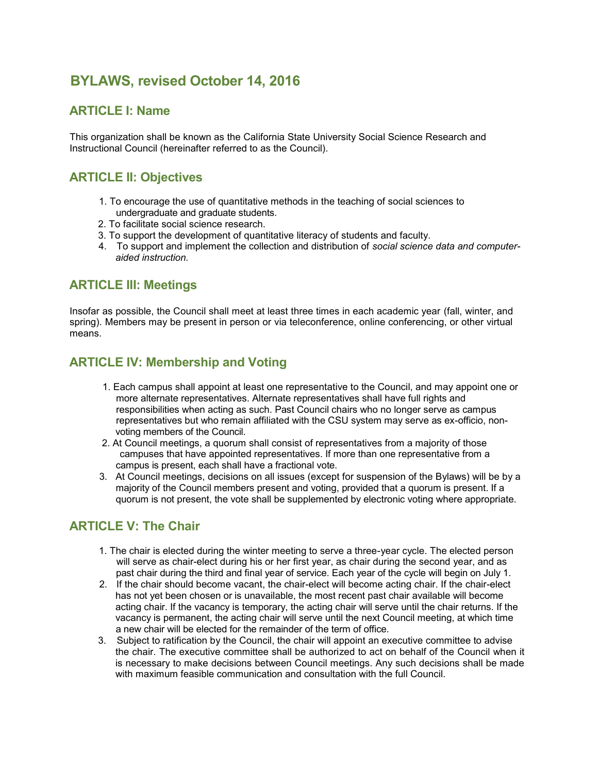# **BYLAWS, revised October 14, 2016**

## **ARTICLE I: Name**

This organization shall be known as the California State University Social Science Research and Instructional Council (hereinafter referred to as the Council).

### **ARTICLE II: Objectives**

- 1. To encourage the use of quantitative methods in the teaching of social sciences to undergraduate and graduate students.
- 2. To facilitate social science research.
- 3. To support the development of quantitative literacy of students and faculty.
- 4. To support and implement the collection and distribution of *social science data and computeraided instruction.*

### **ARTICLE III: Meetings**

Insofar as possible, the Council shall meet at least three times in each academic year (fall, winter, and spring). Members may be present in person or via teleconference, online conferencing, or other virtual means.

# **ARTICLE IV: Membership and Voting**

- 1. Each campus shall appoint at least one representative to the Council, and may appoint one or more alternate representatives. Alternate representatives shall have full rights and responsibilities when acting as such. Past Council chairs who no longer serve as campus representatives but who remain affiliated with the CSU system may serve as ex-officio, nonvoting members of the Council.
- 2. At Council meetings, a quorum shall consist of representatives from a majority of those campuses that have appointed representatives. If more than one representative from a campus is present, each shall have a fractional vote.
- 3. At Council meetings, decisions on all issues (except for suspension of the Bylaws) will be by a majority of the Council members present and voting, provided that a quorum is present. If a quorum is not present, the vote shall be supplemented by electronic voting where appropriate.

### **ARTICLE V: The Chair**

- 1. The chair is elected during the winter meeting to serve a three-year cycle. The elected person will serve as chair-elect during his or her first year, as chair during the second year, and as past chair during the third and final year of service. Each year of the cycle will begin on July 1.
- 2. If the chair should become vacant, the chair-elect will become acting chair. If the chair-elect has not yet been chosen or is unavailable, the most recent past chair available will become acting chair. If the vacancy is temporary, the acting chair will serve until the chair returns. If the vacancy is permanent, the acting chair will serve until the next Council meeting, at which time a new chair will be elected for the remainder of the term of office.
- 3. Subject to ratification by the Council, the chair will appoint an executive committee to advise the chair. The executive committee shall be authorized to act on behalf of the Council when it is necessary to make decisions between Council meetings. Any such decisions shall be made with maximum feasible communication and consultation with the full Council.